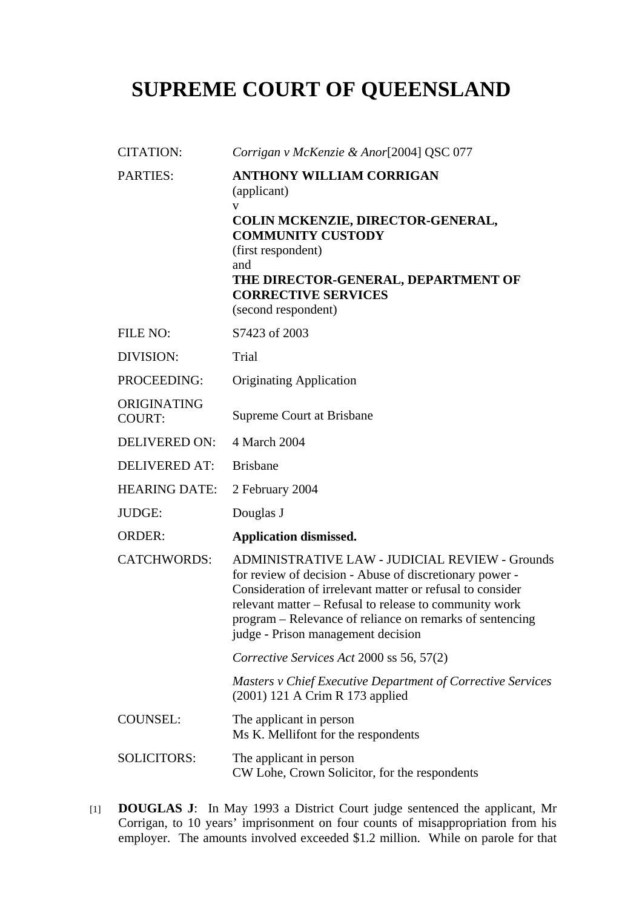## **SUPREME COURT OF QUEENSLAND**

| <b>CITATION:</b>             | Corrigan v McKenzie & Anor[2004] QSC 077                                                                                                                                                                                                                                                                                           |
|------------------------------|------------------------------------------------------------------------------------------------------------------------------------------------------------------------------------------------------------------------------------------------------------------------------------------------------------------------------------|
| <b>PARTIES:</b>              | <b>ANTHONY WILLIAM CORRIGAN</b><br>(applicant)<br>v<br>COLIN MCKENZIE, DIRECTOR-GENERAL,<br><b>COMMUNITY CUSTODY</b><br>(first respondent)<br>and<br>THE DIRECTOR-GENERAL, DEPARTMENT OF<br><b>CORRECTIVE SERVICES</b><br>(second respondent)                                                                                      |
| FILE NO:                     | S7423 of 2003                                                                                                                                                                                                                                                                                                                      |
| DIVISION:                    | Trial                                                                                                                                                                                                                                                                                                                              |
| PROCEEDING:                  | <b>Originating Application</b>                                                                                                                                                                                                                                                                                                     |
| ORIGINATING<br><b>COURT:</b> | Supreme Court at Brisbane                                                                                                                                                                                                                                                                                                          |
| <b>DELIVERED ON:</b>         | 4 March 2004                                                                                                                                                                                                                                                                                                                       |
| <b>DELIVERED AT:</b>         | <b>Brisbane</b>                                                                                                                                                                                                                                                                                                                    |
| <b>HEARING DATE:</b>         | 2 February 2004                                                                                                                                                                                                                                                                                                                    |
| <b>JUDGE:</b>                | Douglas J                                                                                                                                                                                                                                                                                                                          |
| <b>ORDER:</b>                | <b>Application dismissed.</b>                                                                                                                                                                                                                                                                                                      |
| <b>CATCHWORDS:</b>           | ADMINISTRATIVE LAW - JUDICIAL REVIEW - Grounds<br>for review of decision - Abuse of discretionary power -<br>Consideration of irrelevant matter or refusal to consider<br>relevant matter – Refusal to release to community work<br>program – Relevance of reliance on remarks of sentencing<br>judge - Prison management decision |
|                              | Corrective Services Act 2000 ss 56, 57(2)                                                                                                                                                                                                                                                                                          |
|                              | <b>Masters v Chief Executive Department of Corrective Services</b><br>(2001) 121 A Crim R 173 applied                                                                                                                                                                                                                              |
| <b>COUNSEL:</b>              | The applicant in person<br>Ms K. Mellifont for the respondents                                                                                                                                                                                                                                                                     |
| <b>SOLICITORS:</b>           | The applicant in person<br>CW Lohe, Crown Solicitor, for the respondents                                                                                                                                                                                                                                                           |

[1] **DOUGLAS J**: In May 1993 a District Court judge sentenced the applicant, Mr Corrigan, to 10 years' imprisonment on four counts of misappropriation from his employer. The amounts involved exceeded \$1.2 million. While on parole for that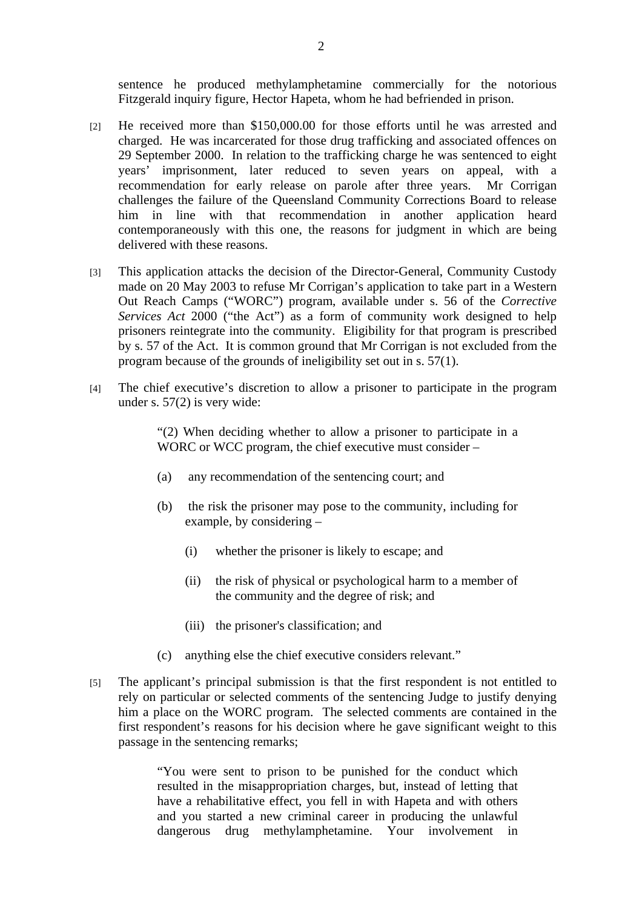sentence he produced methylamphetamine commercially for the notorious Fitzgerald inquiry figure, Hector Hapeta, whom he had befriended in prison.

- [2] He received more than \$150,000.00 for those efforts until he was arrested and charged. He was incarcerated for those drug trafficking and associated offences on 29 September 2000. In relation to the trafficking charge he was sentenced to eight years' imprisonment, later reduced to seven years on appeal, with a recommendation for early release on parole after three years. Mr Corrigan challenges the failure of the Queensland Community Corrections Board to release him in line with that recommendation in another application heard contemporaneously with this one, the reasons for judgment in which are being delivered with these reasons.
- [3] This application attacks the decision of the Director-General, Community Custody made on 20 May 2003 to refuse Mr Corrigan's application to take part in a Western Out Reach Camps ("WORC") program, available under s. 56 of the *Corrective Services Act* 2000 ("the Act") as a form of community work designed to help prisoners reintegrate into the community. Eligibility for that program is prescribed by s. 57 of the Act. It is common ground that Mr Corrigan is not excluded from the program because of the grounds of ineligibility set out in s. 57(1).
- [4] The chief executive's discretion to allow a prisoner to participate in the program under s. 57(2) is very wide:

"(2) When deciding whether to allow a prisoner to participate in a WORC or WCC program, the chief executive must consider –

- (a) any recommendation of the sentencing court; and
- (b) the risk the prisoner may pose to the community, including for example, by considering –
	- (i) whether the prisoner is likely to escape; and
	- (ii) the risk of physical or psychological harm to a member of the community and the degree of risk; and
	- (iii) the prisoner's classification; and
- (c) anything else the chief executive considers relevant."
- [5] The applicant's principal submission is that the first respondent is not entitled to rely on particular or selected comments of the sentencing Judge to justify denying him a place on the WORC program. The selected comments are contained in the first respondent's reasons for his decision where he gave significant weight to this passage in the sentencing remarks;

"You were sent to prison to be punished for the conduct which resulted in the misappropriation charges, but, instead of letting that have a rehabilitative effect, you fell in with Hapeta and with others and you started a new criminal career in producing the unlawful dangerous drug methylamphetamine. Your involvement in